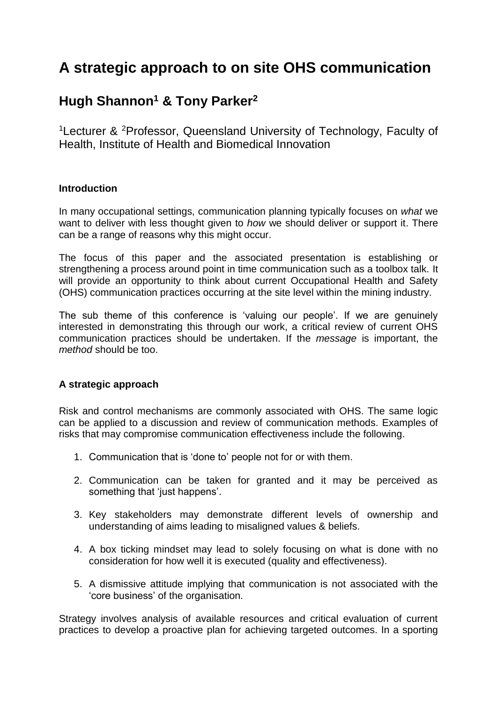# **A strategic approach to on site OHS communication**

# **Hugh Shannon<sup>1</sup> & Tony Parker<sup>2</sup>**

<sup>1</sup>Lecturer & <sup>2</sup>Professor, Queensland University of Technology, Faculty of Health, Institute of Health and Biomedical Innovation

# **Introduction**

In many occupational settings, communication planning typically focuses on *what* we want to deliver with less thought given to *how* we should deliver or support it. There can be a range of reasons why this might occur.

The focus of this paper and the associated presentation is establishing or strengthening a process around point in time communication such as a toolbox talk. It will provide an opportunity to think about current Occupational Health and Safety (OHS) communication practices occurring at the site level within the mining industry.

The sub theme of this conference is 'valuing our people'. If we are genuinely interested in demonstrating this through our work, a critical review of current OHS communication practices should be undertaken. If the *message* is important, the *method* should be too.

# **A strategic approach**

Risk and control mechanisms are commonly associated with OHS. The same logic can be applied to a discussion and review of communication methods. Examples of risks that may compromise communication effectiveness include the following.

- 1. Communication that is 'done to' people not for or with them.
- 2. Communication can be taken for granted and it may be perceived as something that 'just happens'.
- 3. Key stakeholders may demonstrate different levels of ownership and understanding of aims leading to misaligned values & beliefs.
- 4. A box ticking mindset may lead to solely focusing on what is done with no consideration for how well it is executed (quality and effectiveness).
- 5. A dismissive attitude implying that communication is not associated with the 'core business' of the organisation.

Strategy involves analysis of available resources and critical evaluation of current practices to develop a proactive plan for achieving targeted outcomes. In a sporting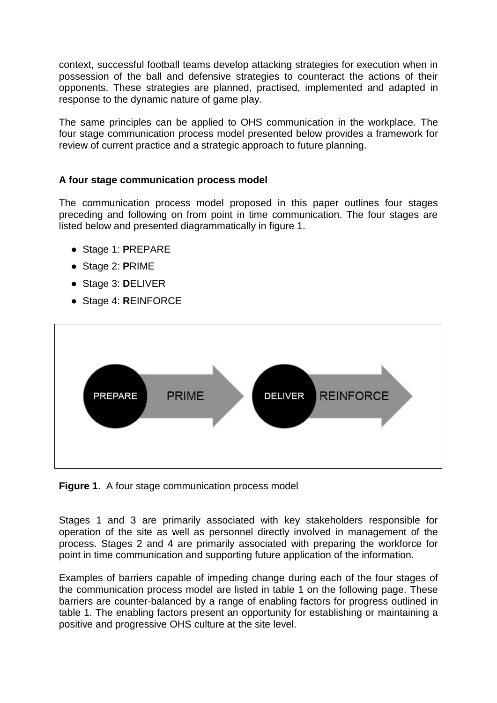context, successful football teams develop attacking strategies for execution when in possession of the ball and defensive strategies to counteract the actions of their opponents. These strategies are planned, practised, implemented and adapted in response to the dynamic nature of game play.

The same principles can be applied to OHS communication in the workplace. The four stage communication process model presented below provides a framework for review of current practice and a strategic approach to future planning.

#### **A four stage communication process model**

The communication process model proposed in this paper outlines four stages preceding and following on from point in time communication. The four stages are listed below and presented diagrammatically in figure 1.

- Stage 1: **P**REPARE
- Stage 2: **P**RIME
- Stage 3: **D**ELIVER
- Stage 4: **R**EINFORCE



**Figure 1**. A four stage communication process model

Stages 1 and 3 are primarily associated with key stakeholders responsible for operation of the site as well as personnel directly involved in management of the process. Stages 2 and 4 are primarily associated with preparing the workforce for point in time communication and supporting future application of the information.

Examples of barriers capable of impeding change during each of the four stages of the communication process model are listed in table 1 on the following page. These barriers are counter-balanced by a range of enabling factors for progress outlined in table 1. The enabling factors present an opportunity for establishing or maintaining a positive and progressive OHS culture at the site level.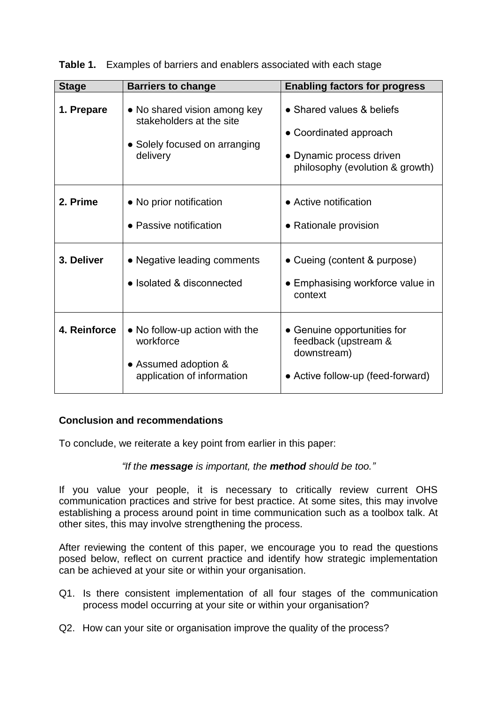| <b>Stage</b> | <b>Barriers to change</b>                                                                             | <b>Enabling factors for progress</b>                                                                               |
|--------------|-------------------------------------------------------------------------------------------------------|--------------------------------------------------------------------------------------------------------------------|
| 1. Prepare   | • No shared vision among key<br>stakeholders at the site<br>• Solely focused on arranging<br>delivery | • Shared values & beliefs<br>• Coordinated approach<br>• Dynamic process driven<br>philosophy (evolution & growth) |
| 2. Prime     | • No prior notification<br>• Passive notification                                                     | • Active notification<br>• Rationale provision                                                                     |
| 3. Deliver   | • Negative leading comments<br>• Isolated & disconnected                                              | • Cueing (content & purpose)<br>• Emphasising workforce value in<br>context                                        |
| 4. Reinforce | • No follow-up action with the<br>workforce<br>• Assumed adoption &<br>application of information     | • Genuine opportunities for<br>feedback (upstream &<br>downstream)<br>• Active follow-up (feed-forward)            |

**Table 1.** Examples of barriers and enablers associated with each stage

# **Conclusion and recommendations**

To conclude, we reiterate a key point from earlier in this paper:

#### *"If the message is important, the method should be too."*

If you value your people, it is necessary to critically review current OHS communication practices and strive for best practice. At some sites, this may involve establishing a process around point in time communication such as a toolbox talk. At other sites, this may involve strengthening the process.

After reviewing the content of this paper, we encourage you to read the questions posed below, reflect on current practice and identify how strategic implementation can be achieved at your site or within your organisation.

- Q1. Is there consistent implementation of all four stages of the communication process model occurring at your site or within your organisation?
- Q2. How can your site or organisation improve the quality of the process?